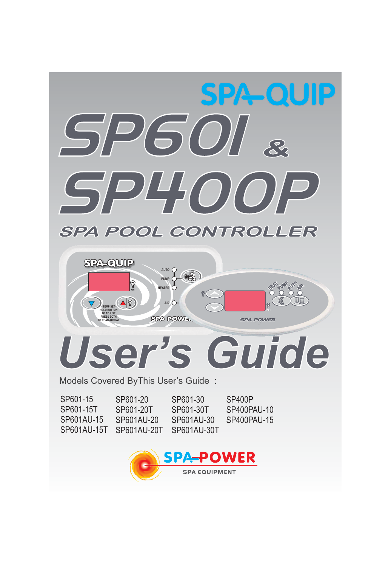



# *User's Guide*

Models Covered ByThis User's Guide :

| SP601-15    | SP601-20    | SP601-30    | SP400P      |
|-------------|-------------|-------------|-------------|
| SP601-15T   | SP601-20T   | SP601-30T   | SP400PAU-10 |
| SP601AU-15  | SP601AU-20  | SP601AU-30  | SP400PAU-15 |
| SP601AU-15T | SP601AU-20T | SP601AU-30T |             |

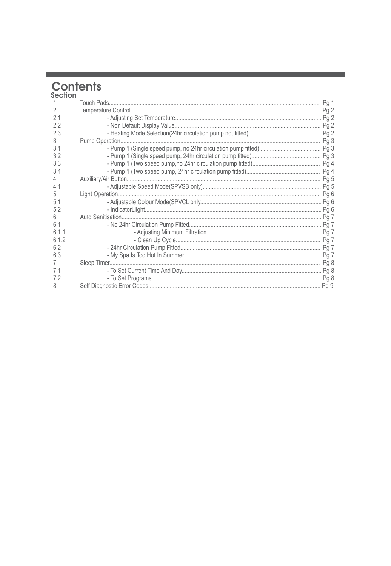# **Contents**<br>section

**The Common State** 

| $\mathfrak{D}$ |  |
|----------------|--|
| 2.1            |  |
| 2.2            |  |
| 2.3            |  |
| 3              |  |
| 3.1            |  |
| 3.2            |  |
| 3.3            |  |
| 3.4            |  |
| 4              |  |
| 4.1            |  |
| 5              |  |
| 5.1            |  |
| 5.2            |  |
| 6              |  |
| 6.1            |  |
| 611            |  |
| 6.1.2          |  |
| 6.2            |  |
| 6.3            |  |
|                |  |
| 7.1            |  |
| 7.2            |  |
| 8              |  |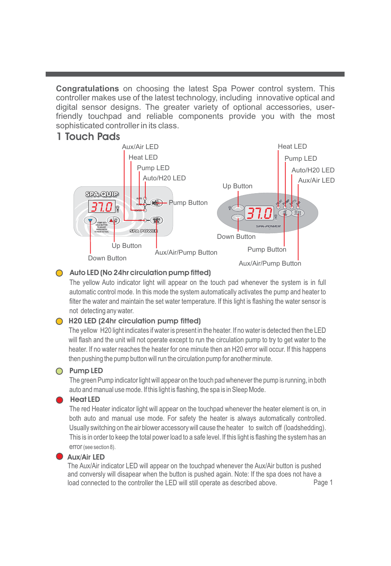**Congratulations** on choosing the latest Spa Power control system. This controller makes use of the latest technology, including innovative optical and digital sensor designs. The greater variety of optional accessories, userfriendly touchpad and reliable components provide you with the most sophisticated controller in its class.

## **1 Touch Pads**



#### **Auto LED (No 24hr circulation pump fitted)**

The yellow Auto indicator light will appear on the touch pad whenever the system is in full automatic control mode. In this mode the system automatically activates the pump and heater to filter the water and maintain the set water temperature. If this light is flashing the water sensor is not detecting any water.

#### **H20 LED (24hr circulation pump fitted)**

The yellow H20 light indicates if water is present in the heater. If no water is detected then the LED will flash and the unit will not operate except to run the circulation pump to try to get water to the heater. If no water reaches the heater for one minute then an H20 error will occur. If this happens then pushing the pump button will run the circulation pump for another minute.

#### **Pump LED**

The green Pump indicator light will appear on the touch pad whenever the pump is running, in both auto and manual use mode. If this light is flashing, the spa is in Sleep Mode.

#### **Heat LED**

The red Heater indicator light will appear on the touchpad whenever the heater element is on, in both auto and manual use mode. For safety the heater is always automatically controlled. Usually switching on the air blower accessory will cause the heater to switch off (loadshedding). This is in order to keep the total power load to a safe level. If this light is flashing the system has an error (see section 8).

#### **Aux/Air LED**

Page 1 The Aux/Air indicator LED will appear on the touchpad whenever the Aux/Air button is pushed and conversly will disapear when the button is pushed again. Note: If the spa does not have a load connected to the controller the LED will still operate as described above.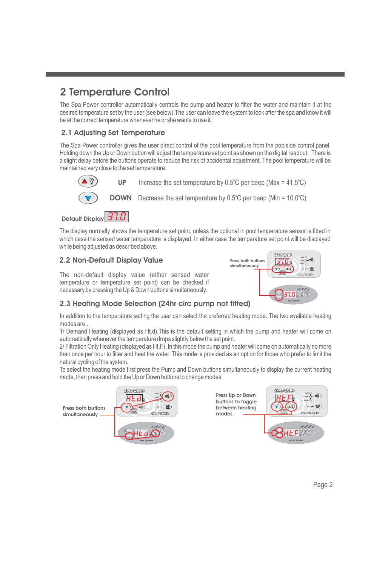# **2 Temperature Control**

The Spa Power controller automatically controls the pump and heater to filter the water and maintain it at the desired temperature set by the user (see below).The user can leave the system to look after the spa and know it will be at the correct temperature whenever he or she wants to use it.

#### **2.1 Adjusting Set Temperature**

The Spa Power controller gives the user direct control of the pool temperature from the poolside control panel. Holding down the Up or Down button will adjust the temperature set point as shown on the digital readout. There is a slight delay before the buttons operate to reduce the risk of accidental adjustment. The pool temperature will be maintained very close to the set temperature.



The display normally shows the temperature set point, unless the optional in pool temperature sensor is fitted in which case the sensed water temperature is displayed. In either case the temperature set point will be displayed while being adjusted as described above.

#### **2.2 Non-Default Display Value**



The non-default display value (either sensed water temperature or temperature set point) can be checked if necessary by pressing the Up & Down buttons simultaneously.

#### **2.3 Heating Mode Selection (24hr circ pump not fitted)**

In addition to the temperature setting the user can select the preferred heating mode. The two available heating modes are...

1/ Demand Heating (displayed as Ht.d).This is the default setting in which the pump and heater will come on automatically whenever the temperature drops slightly below the set point.

2/ Filtration Only Heating (displayed as Ht.F) .In this mode the pump and heater will come on automatically no more than once per hour to filter and heat the water. This mode is provided as an option for those who prefer to limit the natural cycling of the system.

To select the heating mode first press the Pump and Down buttons simultaneously to display the current heating mode, then press and hold the Up or Down buttons to change modes.

**Press both buttons simultaneously**



**SPA-QUIE** 



Page 2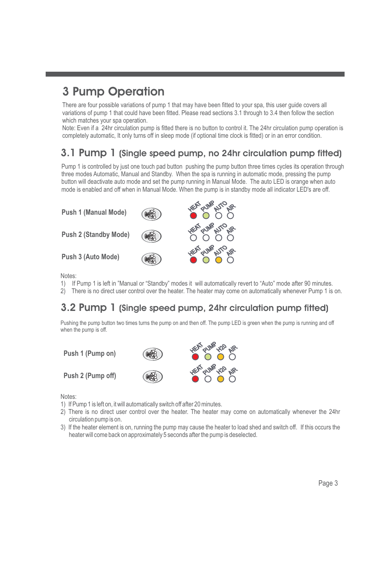# **3 Pump Operation**

There are four possible variations of pump 1 that may have been fitted to your spa, this user guide covers all variations of pump 1 that could have been fitted. Please read sections 3.1 through to 3.4 then follow the section which matches your spa operation.

Note: Even if a 24hr circulation pump is fitted there is no button to control it. The 24hr circulation pump operation is completely automatic, It only turns off in sleep mode (if optional time clock is fitted) or in an error condition.

# **3.1 Pump 1 (Single speed pump, no 24hr circulation pump fitted)**

Pump 1 is controlled by just one touch pad button pushing the pump button three times cycles its operation through three modes Automatic, Manual and Standby. When the spa is running in automatic mode, pressing the pump button will deactivate auto mode and set the pump running in Manual Mode. The auto LED is orange when auto mode is enabled and off when in Manual Mode. When the pump is in standby mode all indicator LED's are off.



Notes:

- 1) If Pump 1 is left in "Manual or "Standby" modes it will automatically revert to "Auto" mode after 90 minutes.
- 2) There is no direct user control over the heater. The heater may come on automatically whenever Pump 1 is on.

# **3.2 Pump 1 (Single speed pump, 24hr circulation pump fitted)**

Pushing the pump button two times turns the pump on and then off. The pump LED is green when the pump is running and off when the pump is off.

**Push 1 (Pump on)**

**Push 2 (Pump off)**



Notes:

- 1) If Pump 1 is left on, it will automatically switch off after 20 minutes.
- 2) There is no direct user control over the heater. The heater may come on automatically whenever the 24hr circulation pump is on.
- 3) If the heater element is on, running the pump may cause the heater to load shed and switch off. If this occurs the heater will come back on approximately 5 seconds after the pump is deselected.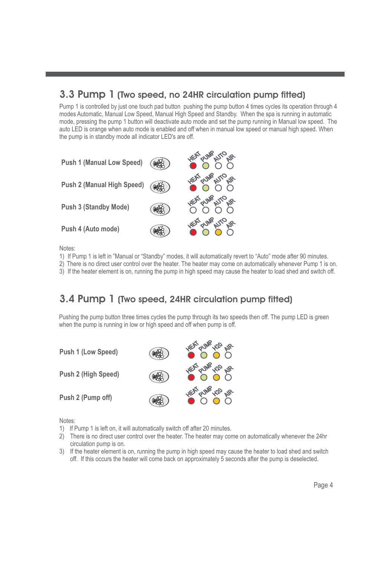## **3.3 Pump 1 (Two speed, no 24HR circulation pump fitted)**

Pump 1 is controlled by just one touch pad button pushing the pump button 4 times cycles its operation through 4 modes Automatic, Manual Low Speed, Manual High Speed and Standby. When the spa is running in automatic mode, pressing the pump 1 button will deactivate auto mode and set the pump running in Manual low speed. The auto LED is orange when auto mode is enabled and off when in manual low speed or manual high speed. When the pump is in standby mode all indicator LED's are off.



Notes:

- 1) If Pump 1 is left in "Manual or "Standby" modes, it will automatically revert to "Auto" mode after 90 minutes.
- 2) There is no direct user control over the heater. The heater may come on automatically whenever Pump 1 is on.
- 3) If the heater element is on, running the pump in high speed may cause the heater to load shed and switch off.

# **3.4 Pump 1 (Two speed, 24HR circulation pump fitted)**

Pushing the pump button three times cycles the pump through its two speeds then off. The pump LED is green when the pump is running in low or high speed and off when pump is off.



Notes:

- 1) If Pump 1 is left on, it will automatically switch off after 20 minutes.
- 2) There is no direct user control over the heater. The heater may come on automatically whenever the 24hr circulation pump is on.
- 3) If the heater element is on, running the pump in high speed may cause the heater to load shed and switch off. If this occurs the heater will come back on approximately 5 seconds after the pump is deselected.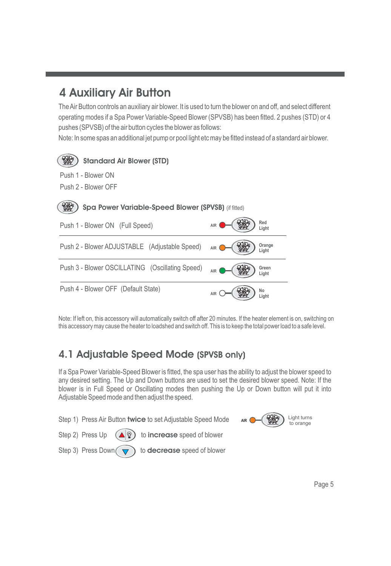# **4 Auxiliary Air Button**

TheAir Button controls an auxiliary air blower. It is used to turn the blower on and off, and select different operating modes if a Spa Power Variable-Speed Blower (SPVSB) has been fitted. 2 pushes (STD) or 4 pushes (SPVSB) of the air button cycles the blower as follows:

Note: In some spas an additional jet pump or pool light etc may be fitted instead of a standard air blower.



Note: If left on, this accessory will automatically switch off after 20 minutes. If the heater element is on, switching on this accessory may cause the heater to loadshed and switch off. This is to keep the total power load to a safe level.

# **4.1 Adjustable Speed Mode (SPVSB only)**

If a Spa Power Variable-Speed Blower is fitted, the spa user has the ability to adjust the blower speed to any desired setting. The Up and Down buttons are used to set the desired blower speed. Note: If the blower is in Full Speed or Oscillating modes then pushing the Up or Down button will put it into Adjustable Speed mode and then adjust the speed.

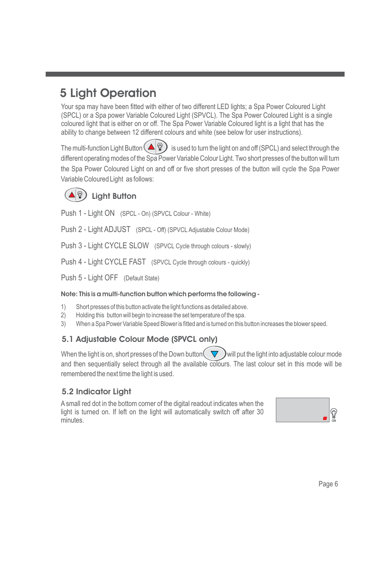# **5 Light Operation**

Your spa may have been fitted with either of two different LED lights; a Spa Power Coloured Light (SPCL) or a Spa power Variable Coloured Light (SPVCL). The Spa Power Coloured Light is a single coloured light that is either on or off. The Spa Power Variable Coloured light is a light that has the ability to change between 12 different colours and white (see below for user instructions).

The multi-function Light Button  $(\triangle \mathcal{D})$  is used to turn the light on and off (SPCL) and select through the different operating modes of the Spa Power Variable Colour Light. Two short presses of the button will turn the Spa Power Coloured Light on and off or five short presses of the button will cycle the Spa Power Variable Coloured Light as follows:

## **Light Button**

Push 1 - Light ON (SPCL - On) (SPVCL Colour - White)

Push 2 - Light ADJUST (SPCL - Off) (SPVCL Adjustable Colour Mode)

Push 3 - Light CYCLE SLOW (SPVCL Cycle through colours - slowly)

Push 4 - Light CYCLE FAST (SPVCL Cycle through colours - quickly)

Push 5 - Light OFF (Default State)

#### **Note: This is a multi-function button which performs the following -**

- 1) Short presses of this button activate the light functions as detailed above.
- 2) Holding this button will begin to increase the set temperature of the spa.
- 3) When a Spa Power Variable Speed Blower is fitted and is turned on this button increases the blower speed.

## **5.1 Adjustable Colour Mode (SPVCL only)**

When the light is on, short presses of the Down button  $\blacktriangledown$   $\blacktriangledown$  will put the light into adjustable colour mode and then sequentially select through all the available colours. The last colour set in this mode will be remembered the next time the light is used.

## **5.2 Indicator Light**

A small red dot in the bottom corner of the digital readout indicates when the light is turned on. If left on the light will automatically switch off after 30 minutes.

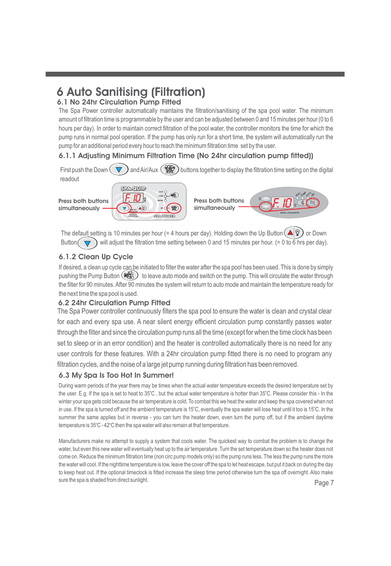# **6 Auto Sanitising (Filtration)**

#### **6.1 No 24hr Circulation Pump Fitted**

The Spa Power controller automatically maintains the filtration/sanitising of the spa pool water. The minimum amount of filtration time is programmable by the user and can be adjusted between 0 and 15 minutes per hour (0 to 6 hours per day). In order to maintain correct filtration of the pool water, the controller monitors the time for which the pump runs in normal pool operation. If the pump has only run for a short time, the system will automatically run the pump for an additional period every hour to reach the minimum filtration time set by the user.

### **6.1.1 Adjusting Minimum Filtration Time (No 24hr circulation pump fitted))**

First push the Down  $\left(\nabla\right)$  and Air/Aux  $\left(\frac{p}{p}\right)$  buttons together to display the filtration time setting on the digital readout



The default setting is 10 minutes per hour (= 4 hours per day). Holding down the Up Button  $(\blacktriangle \mathcal{P})$  or Down Button  $\nabla$  will adjust the filtration time setting between 0 and 15 minutes per hour. (= 0 to 6 hrs per day).

#### **6.1.2 Clean Up Cycle**

If desired, a clean up cycle can be initiated to filter the water after the spa pool has been used. This is done by simply pushing the Pump Button  $(\mathcal{L})$  to leave auto mode and switch on the pump. This will circulate the water through the filter for 90 minutes. After 90 minutes the system will return to auto mode and maintain the temperature ready for the next time the spa pool is used.

#### **6.2 24hr Circulation Pump Fitted**

The Spa Power controller continuously filters the spa pool to ensure the water is clean and crystal clear for each and every spa use. A near silent energy efficient circulation pump constantly passes water through the filter and since the circulation pump runs all the time (except for when the time clock has been set to sleep or in an error condition) and the heater is controlled automatically there is no need for any user controls for these features. With a 24hr circulation pump fitted there is no need to program any filtration cycles, and the noise of a large jet pump running during filtration has been removed.

#### **6.3 My Spa Is Too Hot In Summer!**

During warm periods of the year there may be times when the actual water temperature exceeds the desired temperature set by the user. E.g. If the spa is set to heat to 35°C , but the actual water temperature is hotter than 35°C. Please consider this - In the winter your spa gets cold because the air temperature is cold. To combat this we heat the water and keep the spa covered when not in use. If the spa is turned off and the ambient temperature is 15°C, eventually the spa water will lose heat until it too is 15°C. In the summer the same applies but in reverse - you can turn the heater down, even turn the pump off, but if the ambient daytime temperature is  $35^{\circ}$ C -  $42^{\circ}$ C then the spa water will also remain at that temperature.

Page 7 Manufacturers make no attempt to supply a system that cools water. The quickest way to combat the problem is to change the water, but even this new water will eventually heat up to the air temperature. Turn the set temperature down so the heater does not come on. Reduce the minimum filtration time (non circ pump models only) so the pump runs less. The less the pump runs the more the water will cool. If the nighttime temperature is low, leave the cover off the spa to let heat escape, but put it back on during the day to keep heat out. If the optional timeclock is fitted increase the sleep time period otherwise turn the spa off overnight. Also make sure the spa is shaded from direct sunlight.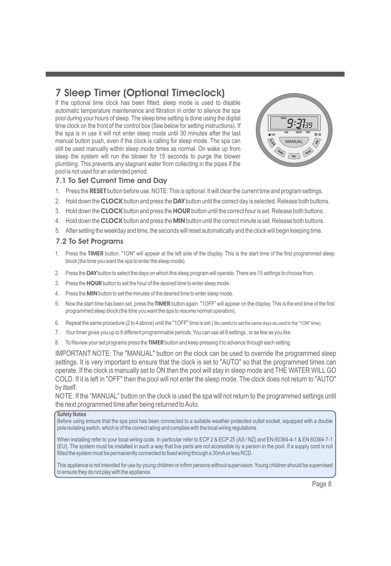# **7 Sleep Timer (Optional Timeclock)**

If the optional time clock has been fitted, sleep mode is used to disable automatic temperature maintenance and filtration in order to silence the spa pool during your hours of sleep. The sleep time setting is done using the digital time clock on the front of the control box (See below for setting instructions). If the spa is in use it will not enter sleep mode until 30 minutes after the last manual button push, even if the clock is calling for sleep mode. The spa can still be used manually within sleep mode times as normal. On wake up from sleep the system will run the blower for 15 seconds to purge the blower plumbing. This prevents any stagnant water from collecting in the pipes if the pool is not used for an extended period.



#### **7.1 To Set Current Time and Day**

- 1. Press the RESET button before use. NOTE: This is optional. It will clear the current time and program settings.
- 2. Hold down the **CLOCK** button and press the **DAY** button until the correct day is selected. Release both buttons.
- 3. Hold down the **CLOCK** button and press the HOUR button until the correct hour is set. Release both buttons.
- 4. Hold down the **CLOCK** button and press the **MIN** button until the correct minute is set. Release both buttons.
- 5. After setting the weekday and time, the seconds will reset automatically and the clock will begin keeping time.

#### **7.2 To Set Programs**

- 1. Press the TIMER button. "1ON" will appear at the left side of the display. This is the start time of the first programmed sleep block (the time you want the spa to enter the sleep mode).
- 2. Press the DAY button to select the days on which this sleep program will operate. There are 15 settings to choose from.
- 3. Press the **HOUR** button to set the hour of the desired time to enter sleep mode.
- 4. Press the **MIN** button to set the minutes of the desired time to enter sleep mode.
- 5. Now the start time has been set, press the **TIMER** button again. "1OFF" will appear on the display. This is the end time of the first programmed sleep block (the time you want the spa to resume normal operation).
- 6. Repeat the same procedure (2 to 4 above) until the "1OFF" time is set.( Be careful to set the same days as used in the "1ON" time).
- 7. Your timer gives you up to 8 different programmable periods. You can use all 8 settings , or as few as you like.
- 8. To Review your set programs press the **TIMER** button and keep pressing it to advance through each setting.

IMPORTANT NOTE: The "MANUAL" button on the clock can be used to override the programmed sleep settings. It is very important to ensure that the clock is set to "AUTO" so that the programmed times can operate. If the clock is manually set to ON then the pool will stay in sleep mode and THE WATER WILL GO COLD. If it is left in "OFF" then the pool will not enter the sleep mode. The clock does not return to "AUTO" by itself.

NOTE: If the "MANUAL" button on the clock is used the spa will not return to the programmed settings until the next programmed time after being returned toAuto.

#### **Safety Notes**

Before using ensure that the spa pool has been connected to a suitable weather protected outlet socket, equipped with a double pole isolating switch, which is of the correct rating and complies with the local wiring regulations.

When installing refer to your local wiring code. In particular refer to ECP 2 & ECP 25 (AS / NZ) and EN 60364-4-1 & EN 60364-7-1 (EU). The system must be installed in such a way that live parts are not accessible by a person in the pool. If a supply cord is not fitted the system must be permanently connected to fixed wiring through a 30mAor less RCD.

This appliance is not intended for use by young children or infirm persons without supervision. Young children should be supervised to ensure they do not play with the appliance.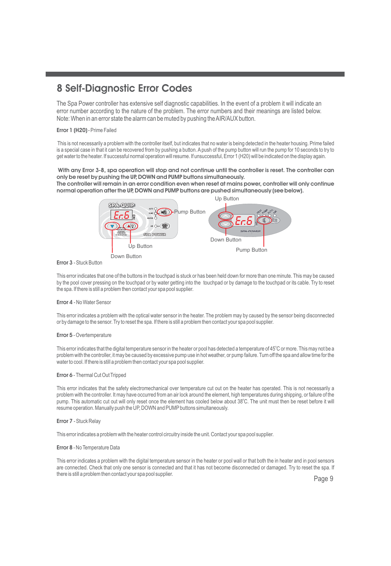# **8 Self-Diagnostic Error Codes**

The Spa Power controller has extensive self diagnostic capabilities. In the event of a problem it will indicate an error number according to the nature of the problem. The error numbers and their meanings are listed below. Note: When in an error state the alarm can be muted by pushing the AIR/AUX button.

#### **Error 1 (H20)** - Prime Failed

This is not necessarily a problem with the controller itself, but indicates that no water is being detected in the heater housing. Prime failed is a special case in that it can be recovered from by pushing a button. A push of the pump button will run the pump for 10 seconds to try to get water to the heater. If successful normal operation will resume. If unsuccessful, Error 1 (H20) will be indicated on the display again.

**With any Error 3-8, spa operation will stop and not continue until the controller is reset. The controller can only be reset by pushing the UP, DOWN and PUMP buttons simultaneously. The controller will remain in an error condition even when reset at mains power, controller will only continue normal operation after the UP, DOWN and PUMP buttons are pushed simultaneously (see below).**



#### **Error 3** - Stuck Button

This error indicates that one of the buttons in the touchpad is stuck or has been held down for more than one minute. This may be caused by the pool cover pressing on the touchpad or by water getting into the touchpad or by damage to the touchpad or its cable. Try to reset the spa. If there is still a problem then contact your spa pool supplier.

#### **Error 4** - No Water Sensor

This error indicates a problem with the optical water sensor in the heater. The problem may by caused by the sensor being disconnected or by damage to the sensor. Try to reset the spa. If there is still a problem then contact your spa pool supplier.

#### **Error 5** - Overtemperature

This error indicates that the digital temperature sensor in the heater or pool has detected a temperature of 45°C or more. This may not be a problem with the controller, it may be caused by excessive pump use in hot weather, or pump failure. Turn off the spa and allow time for the water to cool. If there is still a problem then contact your spa pool supplier.

#### **Error 6** - Thermal Cut Out Tripped

This error indicates that the safety electromechanical over temperature cut out on the heater has operated. This is not necessarily a problem with the controller. It may have occurred from an air lock around the element, high temperatures during shipping, or failure of the pump. This automatic cut out will only reset once the element has cooled below about 38°C. The unit must then be reset before it will resume operation. Manually push the UP, DOWN and PUMP buttons simultaneously.

#### **Error 7** - Stuck Relay

This error indicates a problem with the heater control circuitry inside the unit. Contact your spa pool supplier.

#### **Error 8** - No Temperature Data

This error indicates a problem with the digital temperature sensor in the heater or pool wall or that both the in heater and in pool sensors are connected. Check that only one sensor is connected and that it has not become disconnected or damaged. Try to reset the spa. If there is still a problem then contact your spa pool supplier.

Page 9